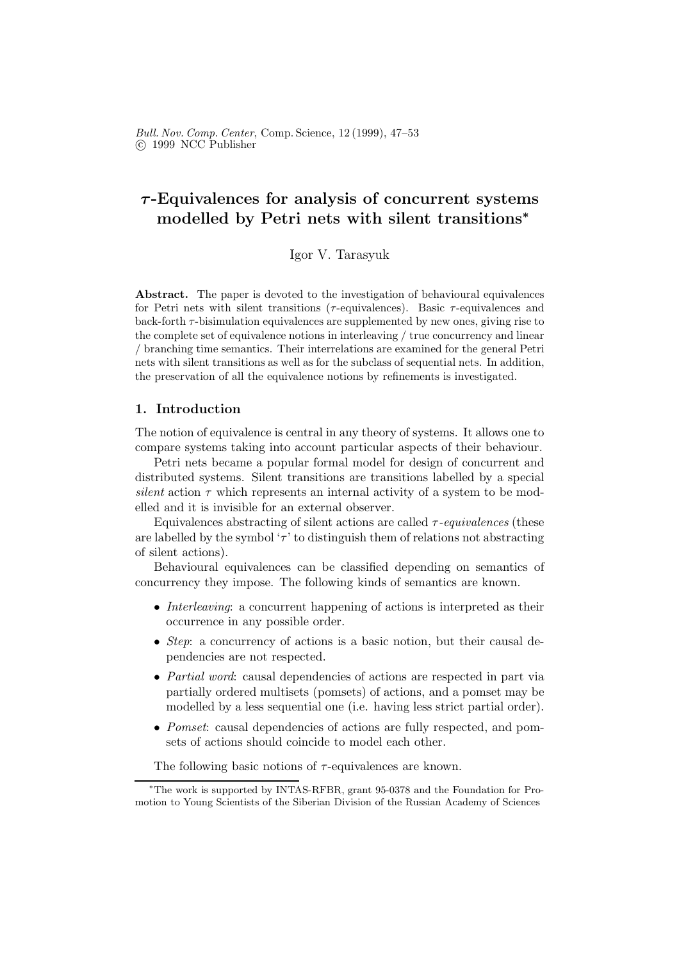# $\tau$ -Equivalences for analysis of concurrent systems modelled by Petri nets with silent transitions<sup>∗</sup>

Igor V. Tarasyuk

Abstract. The paper is devoted to the investigation of behavioural equivalences for Petri nets with silent transitions ( $\tau$ -equivalences). Basic  $\tau$ -equivalences and back-forth  $\tau$ -bisimulation equivalences are supplemented by new ones, giving rise to the complete set of equivalence notions in interleaving / true concurrency and linear / branching time semantics. Their interrelations are examined for the general Petri nets with silent transitions as well as for the subclass of sequential nets. In addition, the preservation of all the equivalence notions by refinements is investigated.

## 1. Introduction

The notion of equivalence is central in any theory of systems. It allows one to compare systems taking into account particular aspects of their behaviour.

Petri nets became a popular formal model for design of concurrent and distributed systems. Silent transitions are transitions labelled by a special silent action  $\tau$  which represents an internal activity of a system to be modelled and it is invisible for an external observer.

Equivalences abstracting of silent actions are called  $\tau$ -equivalences (these are labelled by the symbol ' $\tau$ ' to distinguish them of relations not abstracting of silent actions).

Behavioural equivalences can be classified depending on semantics of concurrency they impose. The following kinds of semantics are known.

- Interleaving: a concurrent happening of actions is interpreted as their occurrence in any possible order.
- Step: a concurrency of actions is a basic notion, but their causal dependencies are not respected.
- *Partial word*: causal dependencies of actions are respected in part via partially ordered multisets (pomsets) of actions, and a pomset may be modelled by a less sequential one (i.e. having less strict partial order).
- Pomset: causal dependencies of actions are fully respected, and pomsets of actions should coincide to model each other.

The following basic notions of  $\tau$ -equivalences are known.

<sup>∗</sup>The work is supported by INTAS-RFBR, grant 95-0378 and the Foundation for Promotion to Young Scientists of the Siberian Division of the Russian Academy of Sciences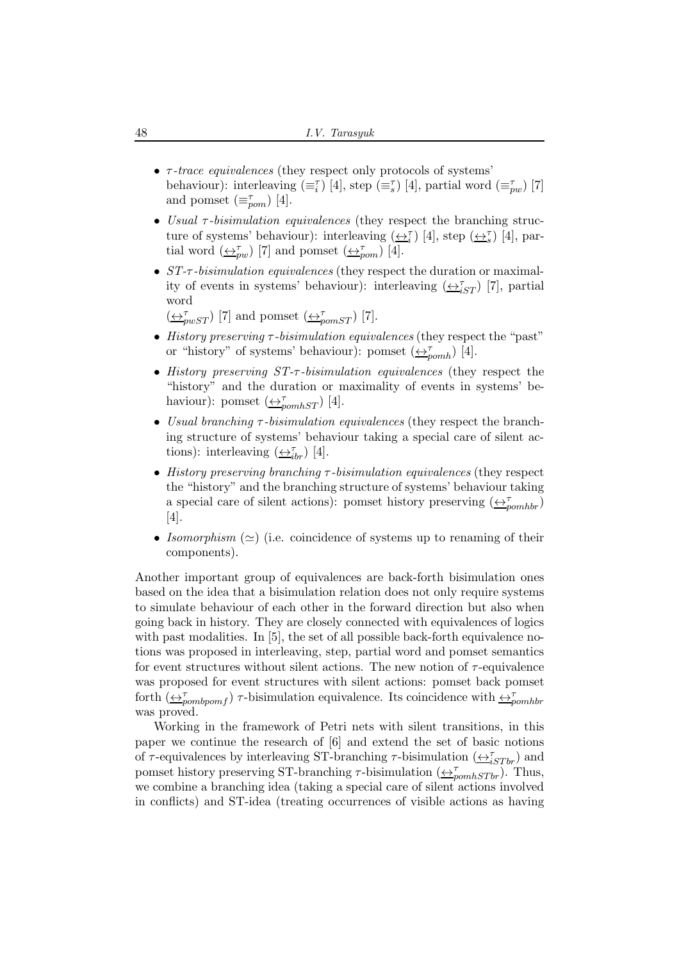- $\tau$ -trace equivalences (they respect only protocols of systems' behaviour): interleaving  $(\equiv_i^{\tau})$  [4], step  $(\equiv_s^{\tau})$  [4], partial word  $(\equiv_{pw}^{\tau})$  [7] and pomset  $(\equiv_{\textit{pom}}^{\tau})$  [4].
- Usual  $\tau$ -bisimulation equivalences (they respect the branching structure of systems' behaviour): interleaving  $(\underline{\leftrightarrow_i^{\tau}})$  [4], step  $(\underline{\leftrightarrow_s^{\tau}})$  [4], partial word  $(\underline{\leftrightarrow}_{pw}^{\tau})$  [7] and pomset  $(\underline{\leftrightarrow}_{pom}^{\tau})$  [4].
- *ST-τ*-bisimulation equivalences (they respect the duration or maximality of events in systems' behaviour): interleaving  $(\underline{\leftrightarrow}^{\tau}_{iST})$  [7], partial word

 $(\underbrace{\leftrightarrow}_{pwnST}^{\tau})$  [7] and pomset  $(\underbrace{\leftrightarrow}_{pomST}^{\tau})$  [7].

- History preserving  $\tau$ -bisimulation equivalences (they respect the "past" or "history" of systems' behaviour): pomset  $(\triangle_{p o m h}^{\tau})$  [4].
- History preserving ST-τ -bisimulation equivalences (they respect the "history" and the duration or maximality of events in systems' behaviour): pomset  $\left(\frac{\leftarrow}{T}_{pomhST}\right)$  [4].
- Usual branching  $\tau$ -bisimulation equivalences (they respect the branching structure of systems' behaviour taking a special care of silent actions): interleaving  $(\underbrace{\leftrightarrow_{i}}_{b}^{T} )$  [4].
- History preserving branching  $\tau$ -bisimulation equivalences (they respect the "history" and the branching structure of systems' behaviour taking a special care of silent actions): pomset history preserving  $\left(\frac{\leftrightarrow}_{pomhbr}\right)$ [4].
- Isomorphism  $(\simeq)$  (i.e. coincidence of systems up to renaming of their components).

Another important group of equivalences are back-forth bisimulation ones based on the idea that a bisimulation relation does not only require systems to simulate behaviour of each other in the forward direction but also when going back in history. They are closely connected with equivalences of logics with past modalities. In [5], the set of all possible back-forth equivalence notions was proposed in interleaving, step, partial word and pomset semantics for event structures without silent actions. The new notion of  $\tau$ -equivalence was proposed for event structures with silent actions: pomset back pomset forth  $(\leftrightarrow_{pombpom}^{\tau})$   $\tau$ -bisimulation equivalence. Its coincidence with  $\leftrightarrow_{pombbr}^{\tau}$ was proved.

Working in the framework of Petri nets with silent transitions, in this paper we continue the research of [6] and extend the set of basic notions of  $\tau$ -equivalences by interleaving ST-branching  $\tau$ -bisimulation  $(\underbrace{\leftrightarrow}^{\tau}_{iSTbr})$  and pomset history preserving ST-branching  $\tau$ -bisimulation  $(\underbrace{\leftrightarrow}_{\text{pomhSTbr}}^{\tau})$ . Thus, we combine a branching idea (taking a special care of silent actions involved in conflicts) and ST-idea (treating occurrences of visible actions as having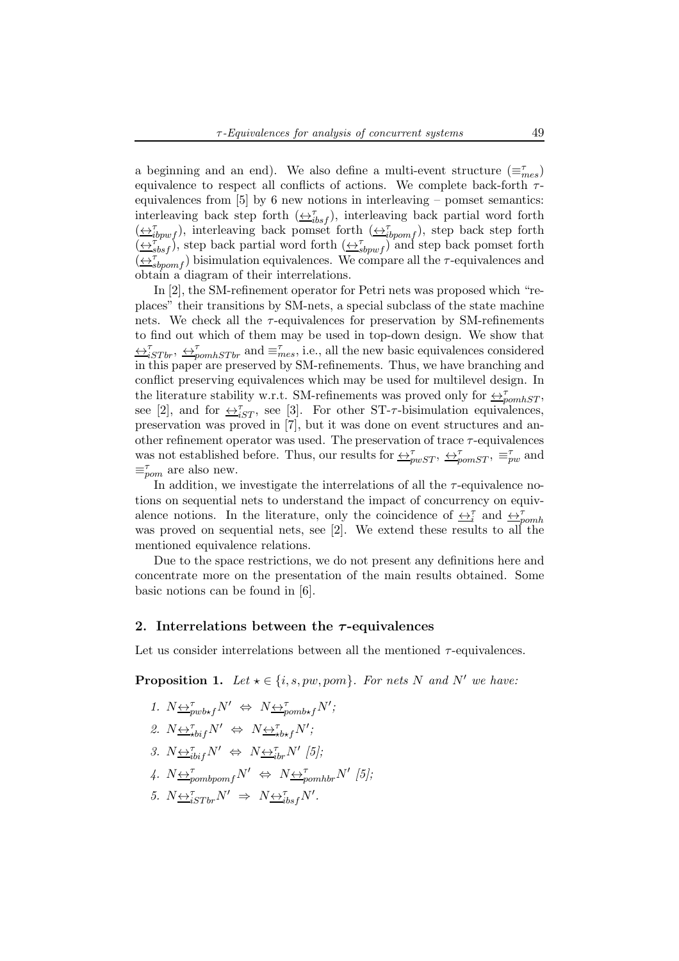a beginning and an end). We also define a multi-event structure  $(\equiv_{mes}^{\tau})$ equivalence to respect all conflicts of actions. We complete back-forth  $\tau$ equivalences from  $[5]$  by 6 new notions in interleaving – pomset semantics: interleaving back step forth  $(\underbrace{\leftrightarrow_{i}^{\tau}}_{ibsf})$ , interleaving back partial word forth  $(\underbrace{\leftrightarrow_{i}^{\tau}}_{ibywf})$ , interleaving back pomset forth  $(\underbrace{\leftrightarrow_{i}^{\tau}}_{ibyomf})$ , step back step forth  $(\overline{\leftrightarrow_{sbsf}^{\tau}})$ , step back partial word forth  $(\overline{\leftrightarrow_{sbpwf}^{\tau}})$  and step back pomset forth  $(\overbrace{\leftrightarrow}^{\tau}_{sbpomf})$  bisimulation equivalences. We compare all the  $\tau$ -equivalences and obtain a diagram of their interrelations.

In [2], the SM-refinement operator for Petri nets was proposed which "replaces" their transitions by SM-nets, a special subclass of the state machine nets. We check all the  $\tau$ -equivalences for preservation by SM-refinements to find out which of them may be used in top-down design. We show that  $\leftrightarrow_{iSTbr}^{\tau}$ ,  $\leftrightarrow_{pomhSTbr}^{\tau}$  and  $\equiv_{mes}^{\tau}$ , i.e., all the new basic equivalences considered in this paper are preserved by SM-refinements. Thus, we have branching and conflict preserving equivalences which may be used for multilevel design. In the literature stability w.r.t. SM-refinements was proved only for  $\leftrightarrow_{\text{pomhST}}^{\tau}$ , see [2], and for  $\triangle^{\tau}_{iST}$ , see [3]. For other ST- $\tau$ -bisimulation equivalences, preservation was proved in [7], but it was done on event structures and another refinement operator was used. The preservation of trace  $\tau$ -equivalences was not established before. Thus, our results for  $\leftrightarrow_{pwST}^{\tau}$ ,  $\leftrightarrow_{pomST}^{\tau}$ ,  $\equiv_{pw}^{\tau}$  and  $\equiv_{\textit{pom}}^{\tau}$  are also new.

In addition, we investigate the interrelations of all the  $\tau$ -equivalence notions on sequential nets to understand the impact of concurrency on equivalence notions. In the literature, only the coincidence of  $\leftrightarrow_{i}^{\tau}$  and  $\leftrightarrow_{pcmh}^{\tau}$ was proved on sequential nets, see [2]. We extend these results to all the mentioned equivalence relations.

Due to the space restrictions, we do not present any definitions here and concentrate more on the presentation of the main results obtained. Some basic notions can be found in [6].

## 2. Interrelations between the  $\tau$ -equivalences

Let us consider interrelations between all the mentioned  $\tau$ -equivalences.

**Proposition 1.** Let  $\star \in \{i, s, pw, pom\}$ . For nets N and N' we have:

1. 
$$
N \leftrightarrow_{\text{pubxf}} N' \Leftrightarrow N \leftrightarrow_{\text{pombxf}} N';
$$
  
\n2.  $N \leftrightarrow_{\text{xbif}} N' \Leftrightarrow N \leftrightarrow_{\text{xbf}} N';$   
\n3.  $N \leftrightarrow_{\text{ibif}} N' \Leftrightarrow N \leftrightarrow_{\text{ibr}} N' / 5$ ;  
\n4.  $N \leftrightarrow_{\text{pombpomf}} N' \Leftrightarrow N \leftrightarrow_{\text{pombbr}} T' / 5$ ;  
\n5.  $N \leftrightarrow_{\text{iSTbr}} T' N' \Rightarrow N \leftrightarrow_{\text{ibsf}} T N'.$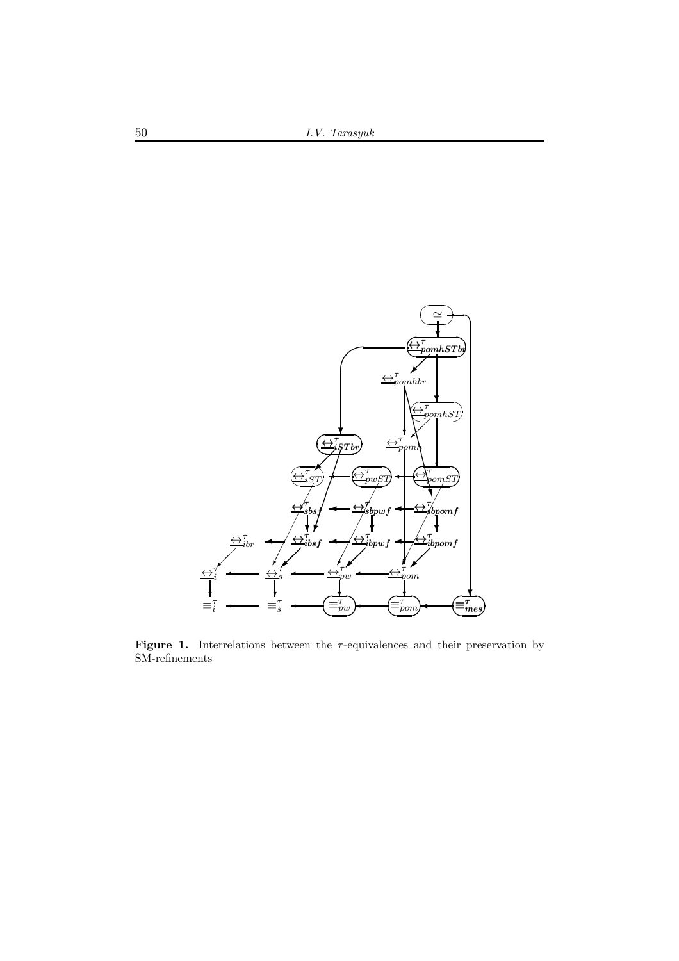

Figure 1. Interrelations between the  $\tau$ -equivalences and their preservation by SM-refinements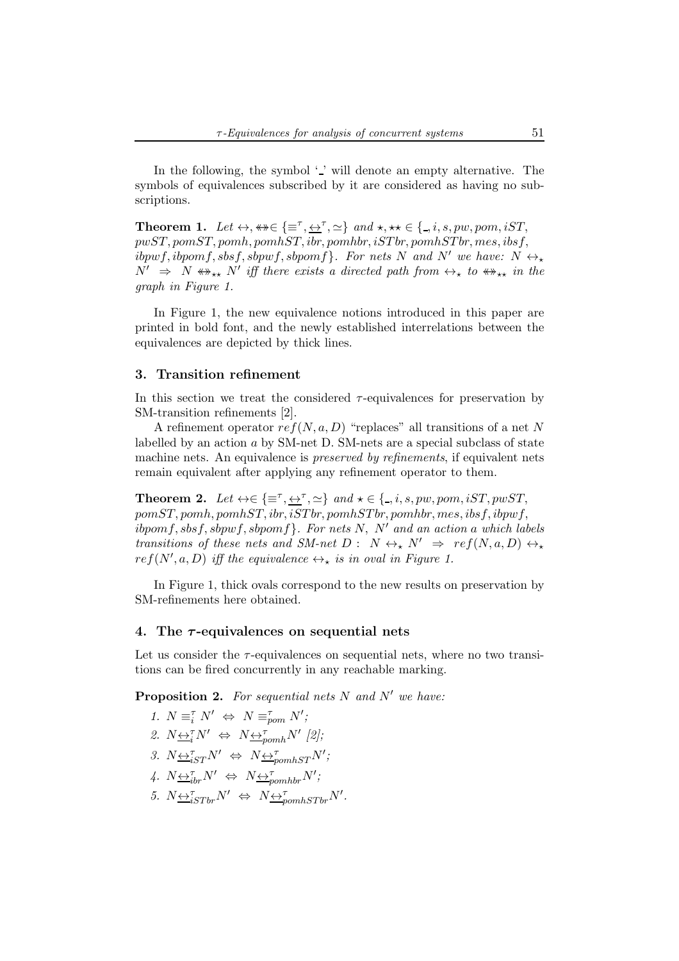In the following, the symbol  $\cdot$  ' will denote an empty alternative. The symbols of equivalences subscribed by it are considered as having no subscriptions.

**Theorem 1.** Let  $\leftrightarrow$ ,  $\ast\ast \in \{\equiv^{\tau}, \underline{\leftrightarrow}^{\tau}, \simeq\}$  and  $\star$ ,  $\star\star \in \{\_, i, s, pw, pom, iST,$  $pwST, pomST, pomh, pomhST, ibr, pomhbr, iSTbr, pomhSTbr, mens, ibsf,$  $ibpwf, ibpomf, sbsf, sbpwf, sbpomf$ . For nets N and N' we have:  $N \leftrightarrow x$  $N' \Rightarrow N \leftrightarrow_{**} N'$  iff there exists a directed path from  $\leftrightarrow_{*}$  to  $\leftrightarrow_{**}$  in the graph in Figure 1.

In Figure 1, the new equivalence notions introduced in this paper are printed in bold font, and the newly established interrelations between the equivalences are depicted by thick lines.

## 3. Transition refinement

In this section we treat the considered  $\tau$ -equivalences for preservation by SM-transition refinements [2].

A refinement operator  $ref(N, a, D)$  "replaces" all transitions of a net N labelled by an action a by SM-net D. SM-nets are a special subclass of state machine nets. An equivalence is *preserved by refinements*, if equivalent nets remain equivalent after applying any refinement operator to them.

**Theorem 2.** Let  $\leftrightarrow \in \{\equiv^{\tau}, \leftrightarrow^{\tau}, \simeq\}$  and  $\star \in \{ \_, i, s, pw, pom, iST, pwST,$  $pomST, pomh, pomhST, ibr, iSTbr, pomhSTbr, pomhbr, mes, ibsf, ibpwf,$  $ibpomf, sbsf, sbpwf, sbpomf$ . For nets N, N' and an action a which labels transitions of these nets and SM-net  $D: N \leftrightarrow N' \Rightarrow ref(N, a, D) \leftrightarrow \bullet$  $ref(N', a, D)$  iff the equivalence  $\leftrightarrow_{\star}$  is in oval in Figure 1.

In Figure 1, thick ovals correspond to the new results on preservation by SM-refinements here obtained.

## 4. The  $\tau$ -equivalences on sequential nets

Let us consider the  $\tau$ -equivalences on sequential nets, where no two transitions can be fired concurrently in any reachable marking.

**Proposition 2.** For sequential nets  $N$  and  $N'$  we have:

\n- 1. 
$$
N \equiv_i^{\tau} N' \Leftrightarrow N \equiv_{\text{pom}}^{\tau} N';
$$
\n- 2.  $N \leftrightarrow_i^{\tau} N' \Leftrightarrow N \leftrightarrow_{\text{pomh}}^{\tau} N' \text{ [2]};$
\n- 3.  $N \leftrightarrow_{iST}^{\tau} N' \Leftrightarrow N \leftrightarrow_{\text{pomhST}}^{\tau} N';$
\n- 4.  $N \leftrightarrow_{\text{irb}}^{\tau} N' \Leftrightarrow N \leftrightarrow_{\text{pomhbr}}^{\tau} N';$
\n- 5.  $N \leftrightarrow_{iSTbr}^{\tau} N' \Leftrightarrow N \leftrightarrow_{\text{pomhSTbr}}^{\tau} N'.$
\n